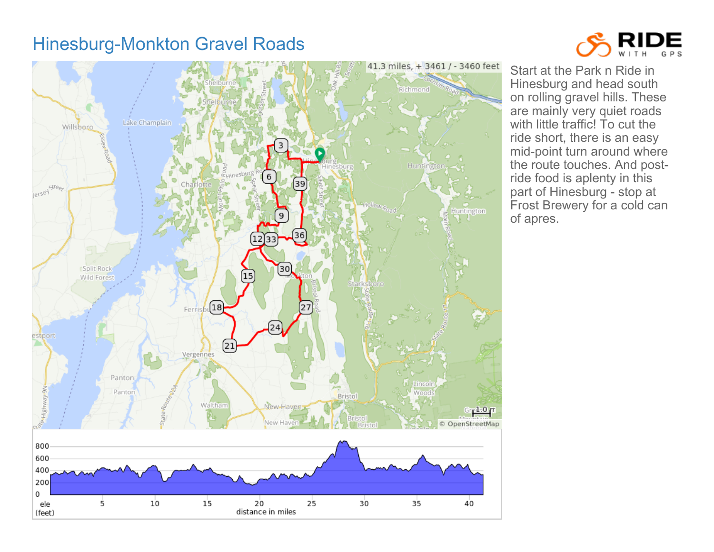## Hinesburg-Monkton Gravel Roads





Start at the Park n Ride in Hinesburg and head south on rolling gravel hills. These are mainly very quiet roads with little traffic! To cut the ride short, there is an easy mid-point turn around where the route touches. And postride food is aplenty in this part of Hinesburg - stop at Frost Brewery for a cold can of apres.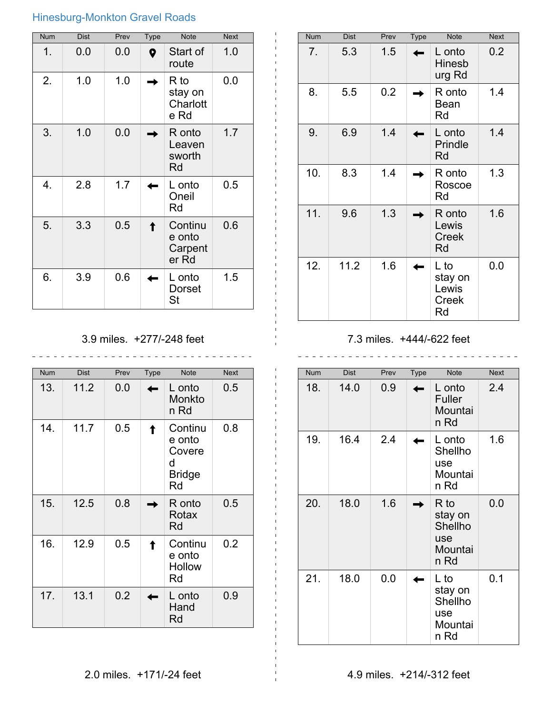## Hinesburg-Monkton Gravel Roads

| <b>Num</b> | <b>Dist</b> | Prev | <b>Type</b> | <b>Note</b>                           | <b>Next</b> |
|------------|-------------|------|-------------|---------------------------------------|-------------|
| 1.         | 0.0         | 0.0  | 0           | Start of<br>route                     | 1.0         |
| 2.         | 1.0         | 1.0  |             | R to<br>stay on<br>Charlott<br>e Rd   | 0.0         |
| 3.         | 1.0         | 0.0  |             | R onto<br>Leaven<br>sworth<br>Rd      | 1.7         |
| 4.         | 2.8         | 1.7  |             | L onto<br>Oneil<br>Rd                 | 0.5         |
| 5.         | 3.3         | 0.5  |             | Continu<br>e onto<br>Carpent<br>er Rd | 0.6         |
| 6.         | 3.9         | 0.6  |             | L onto<br>Dorset<br>St                | 1.5         |

| 3.9 miles. +277/-248 feet |  |
|---------------------------|--|
|                           |  |

\_\_\_\_\_\_\_\_\_\_\_\_\_\_\_\_\_\_\_\_\_\_\_\_\_\_\_\_\_\_\_\_\_

| <b>Num</b> | <b>Dist</b> | Prev | <b>Type</b> | <b>Note</b>                                             | <b>Next</b> |
|------------|-------------|------|-------------|---------------------------------------------------------|-------------|
| 13.        | 11.2        | 0.0  |             | L onto<br>Monkto<br>n Rd                                | 0.5         |
| 14.        | 11.7        | 0.5  |             | Continu<br>e onto<br>Covere<br>d<br><b>Bridge</b><br>Rd | 0.8         |
| 15.        | 12.5        | 0.8  |             | R onto<br>Rotax<br>Rd                                   | 0.5         |
| 16.        | 12.9        | 0.5  |             | Continu<br>e onto<br><b>Hollow</b><br>Rd                | 0.2         |
| 17.        | 13.1        | 0.2  |             | L onto<br>Hand<br>Rd                                    | 0.9         |

| <b>Num</b> | <b>Dist</b> | Prev | Type | <b>Note</b>                             | <b>Next</b> |
|------------|-------------|------|------|-----------------------------------------|-------------|
| 7.         | 5.3         | 1.5  |      | L onto<br><b>Hinesb</b><br>urg Rd       | 0.2         |
| 8.         | 5.5         | 0.2  |      | R onto<br>Bean<br>Rd                    | 1.4         |
| 9.         | 6.9         | 1.4  |      | L onto<br>Prindle<br>Rd                 | 1.4         |
| 10.        | 8.3         | 1.4  |      | R onto<br>Roscoe<br>Rd                  | 1.3         |
| 11.        | 9.6         | 1.3  |      | R onto<br>Lewis<br><b>Creek</b><br>Rd   | 1.6         |
| 12.        | 11.2        | 1.6  |      | L to<br>stay on<br>Lewis<br>Creek<br>Rd | 0.0         |

7.3 miles. +444/-622 feet

| <b>Num</b> | Dist | Prev | <b>Type</b> | <b>Note</b>                                          | <b>Next</b> |
|------------|------|------|-------------|------------------------------------------------------|-------------|
| 18.        | 14.0 | 0.9  |             | L onto<br><b>Fuller</b><br>Mountai<br>n Rd           | 2.4         |
| 19.        | 16.4 | 2.4  |             | L onto<br>Shellho<br>use<br>Mountai<br>n Rd          | 1.6         |
| 20.        | 18.0 | 1.6  |             | R to<br>stay on<br>Shellho<br>use<br>Mountai<br>n Rd | 0.0         |
| 21.        | 18.0 | 0.0  |             | L to<br>stay on<br>Shellho<br>use<br>Mountai<br>n Rd | 0.1         |